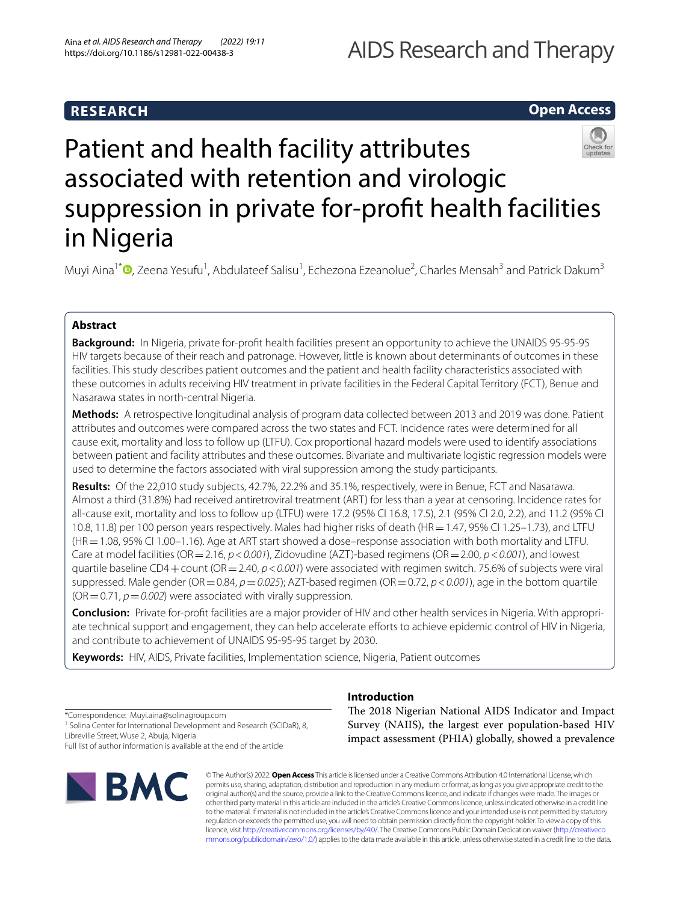# **RESEARCH**

# **Open Access**



# Patient and health facility attributes associated with retention and virologic suppression in private for-proft health facilities in Nigeria

Muyi Aina<sup>1[\\*](http://orcid.org/0000-0001-9686-7685)</sup> <sup>(D</sup>, Zeena Yesufu<sup>1</sup>, Abdulateef Salisu<sup>1</sup>, Echezona Ezeanolue<sup>2</sup>, Charles Mensah<sup>3</sup> and Patrick Dakum<sup>3</sup>

# **Abstract**

**Background:** In Nigeria, private for-proft health facilities present an opportunity to achieve the UNAIDS 95-95-95 HIV targets because of their reach and patronage. However, little is known about determinants of outcomes in these facilities. This study describes patient outcomes and the patient and health facility characteristics associated with these outcomes in adults receiving HIV treatment in private facilities in the Federal Capital Territory (FCT), Benue and Nasarawa states in north-central Nigeria.

**Methods:** A retrospective longitudinal analysis of program data collected between 2013 and 2019 was done. Patient attributes and outcomes were compared across the two states and FCT. Incidence rates were determined for all cause exit, mortality and loss to follow up (LTFU). Cox proportional hazard models were used to identify associations between patient and facility attributes and these outcomes. Bivariate and multivariate logistic regression models were used to determine the factors associated with viral suppression among the study participants.

**Results:** Of the 22,010 study subjects, 42.7%, 22.2% and 35.1%, respectively, were in Benue, FCT and Nasarawa. Almost a third (31.8%) had received antiretroviral treatment (ART) for less than a year at censoring. Incidence rates for all-cause exit, mortality and loss to follow up (LTFU) were 17.2 (95% CI 16.8, 17.5), 2.1 (95% CI 2.0, 2.2), and 11.2 (95% CI 10.8, 11.8) per 100 person years respectively. Males had higher risks of death (HR=1.47, 95% CI 1.25–1.73), and LTFU (HR=1.08, 95% CI 1.00–1.16). Age at ART start showed a dose–response association with both mortality and LTFU. Care at model facilities (OR=2.16, *p*<*0.001*), Zidovudine (AZT)-based regimens (OR=2.00, *p*<*0.001*), and lowest quartile baseline CD4+count (OR=2.40, *p*<*0.001*) were associated with regimen switch. 75.6% of subjects were viral suppressed. Male gender (OR=0.84, *p*=*0.025*); AZT-based regimen (OR=0.72, *p*<*0.001*), age in the bottom quartile  $(OR = 0.71, p = 0.002)$  were associated with virally suppression.

**Conclusion:** Private for-proft facilities are a major provider of HIV and other health services in Nigeria. With appropriate technical support and engagement, they can help accelerate efforts to achieve epidemic control of HIV in Nigeria, and contribute to achievement of UNAIDS 95-95-95 target by 2030.

**Keywords:** HIV, AIDS, Private facilities, Implementation science, Nigeria, Patient outcomes

\*Correspondence: Muyi.aina@solinagroup.com

<sup>1</sup> Solina Center for International Development and Research (SCIDaR), 8, Libreville Street, Wuse 2, Abuja, Nigeria

Full list of author information is available at the end of the article



# **Introduction**

The 2018 Nigerian National AIDS Indicator and Impact Survey (NAIIS), the largest ever population-based HIV impact assessment (PHIA) globally, showed a prevalence

© The Author(s) 2022. **Open Access** This article is licensed under a Creative Commons Attribution 4.0 International License, which permits use, sharing, adaptation, distribution and reproduction in any medium or format, as long as you give appropriate credit to the original author(s) and the source, provide a link to the Creative Commons licence, and indicate if changes were made. The images or other third party material in this article are included in the article's Creative Commons licence, unless indicated otherwise in a credit line to the material. If material is not included in the article's Creative Commons licence and your intended use is not permitted by statutory regulation or exceeds the permitted use, you will need to obtain permission directly from the copyright holder. To view a copy of this licence, visit [http://creativecommons.org/licenses/by/4.0/.](http://creativecommons.org/licenses/by/4.0/) The Creative Commons Public Domain Dedication waiver ([http://creativeco](http://creativecommons.org/publicdomain/zero/1.0/) [mmons.org/publicdomain/zero/1.0/](http://creativecommons.org/publicdomain/zero/1.0/)) applies to the data made available in this article, unless otherwise stated in a credit line to the data.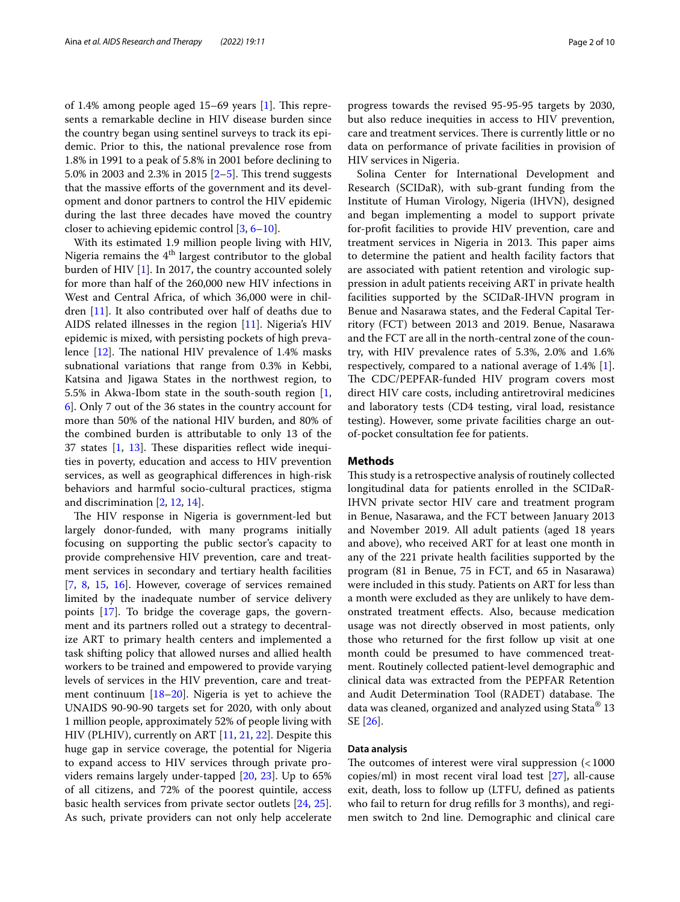of 1.4% among people aged  $15-69$  years  $[1]$  $[1]$ . This represents a remarkable decline in HIV disease burden since the country began using sentinel surveys to track its epidemic. Prior to this, the national prevalence rose from 1.8% in 1991 to a peak of 5.8% in 2001 before declining to 5.0% in [2](#page-8-1)003 and 2.3% in 2015  $[2-5]$ . This trend suggests that the massive efforts of the government and its development and donor partners to control the HIV epidemic during the last three decades have moved the country closer to achieving epidemic control [[3,](#page-8-3) [6](#page-8-4)[–10](#page-8-5)].

With its estimated 1.9 million people living with HIV, Nigeria remains the  $4<sup>th</sup>$  largest contributor to the global burden of HIV [\[1](#page-8-0)]. In 2017, the country accounted solely for more than half of the 260,000 new HIV infections in West and Central Africa, of which 36,000 were in children [\[11](#page-8-6)]. It also contributed over half of deaths due to AIDS related illnesses in the region [[11\]](#page-8-6). Nigeria's HIV epidemic is mixed, with persisting pockets of high prevalence  $[12]$ . The national HIV prevalence of 1.4% masks subnational variations that range from 0.3% in Kebbi, Katsina and Jigawa States in the northwest region, to 5.5% in Akwa-Ibom state in the south-south region [\[1](#page-8-0), [6\]](#page-8-4). Only 7 out of the 36 states in the country account for more than 50% of the national HIV burden, and 80% of the combined burden is attributable to only 13 of the 37 states  $[1, 13]$  $[1, 13]$  $[1, 13]$ . These disparities reflect wide inequities in poverty, education and access to HIV prevention services, as well as geographical diferences in high-risk behaviors and harmful socio-cultural practices, stigma and discrimination [[2,](#page-8-1) [12,](#page-8-7) [14](#page-8-9)].

The HIV response in Nigeria is government-led but largely donor-funded, with many programs initially focusing on supporting the public sector's capacity to provide comprehensive HIV prevention, care and treatment services in secondary and tertiary health facilities [[7,](#page-8-10) [8](#page-8-11), [15,](#page-8-12) [16](#page-8-13)]. However, coverage of services remained limited by the inadequate number of service delivery points [\[17](#page-8-14)]. To bridge the coverage gaps, the government and its partners rolled out a strategy to decentralize ART to primary health centers and implemented a task shifting policy that allowed nurses and allied health workers to be trained and empowered to provide varying levels of services in the HIV prevention, care and treatment continuum [\[18](#page-8-15)[–20\]](#page-8-16). Nigeria is yet to achieve the UNAIDS 90-90-90 targets set for 2020, with only about 1 million people, approximately 52% of people living with HIV (PLHIV), currently on ART [\[11](#page-8-6), [21,](#page-8-17) [22](#page-8-18)]. Despite this huge gap in service coverage, the potential for Nigeria to expand access to HIV services through private providers remains largely under-tapped [[20,](#page-8-16) [23](#page-8-19)]. Up to 65% of all citizens, and 72% of the poorest quintile, access basic health services from private sector outlets [\[24](#page-8-20), [25](#page-8-21)]. As such, private providers can not only help accelerate

progress towards the revised 95-95-95 targets by 2030, but also reduce inequities in access to HIV prevention, care and treatment services. There is currently little or no data on performance of private facilities in provision of HIV services in Nigeria.

Solina Center for International Development and Research (SCIDaR), with sub-grant funding from the Institute of Human Virology, Nigeria (IHVN), designed and began implementing a model to support private for-proft facilities to provide HIV prevention, care and treatment services in Nigeria in 2013. This paper aims to determine the patient and health facility factors that are associated with patient retention and virologic suppression in adult patients receiving ART in private health facilities supported by the SCIDaR-IHVN program in Benue and Nasarawa states, and the Federal Capital Territory (FCT) between 2013 and 2019. Benue, Nasarawa and the FCT are all in the north-central zone of the country, with HIV prevalence rates of 5.3%, 2.0% and 1.6% respectively, compared to a national average of 1.4% [\[1](#page-8-0)]. The CDC/PEPFAR-funded HIV program covers most direct HIV care costs, including antiretroviral medicines and laboratory tests (CD4 testing, viral load, resistance testing). However, some private facilities charge an outof-pocket consultation fee for patients.

#### **Methods**

This study is a retrospective analysis of routinely collected longitudinal data for patients enrolled in the SCIDaR-IHVN private sector HIV care and treatment program in Benue, Nasarawa, and the FCT between January 2013 and November 2019. All adult patients (aged 18 years and above), who received ART for at least one month in any of the 221 private health facilities supported by the program (81 in Benue, 75 in FCT, and 65 in Nasarawa) were included in this study. Patients on ART for less than a month were excluded as they are unlikely to have demonstrated treatment efects. Also, because medication usage was not directly observed in most patients, only those who returned for the frst follow up visit at one month could be presumed to have commenced treatment. Routinely collected patient-level demographic and clinical data was extracted from the PEPFAR Retention and Audit Determination Tool (RADET) database. The data was cleaned, organized and analyzed using Stata® 13 SE [[26\]](#page-8-22).

## **Data analysis**

The outcomes of interest were viral suppression  $\left($  < 1000 copies/ml) in most recent viral load test [[27](#page-8-23)], all-cause exit, death, loss to follow up (LTFU, defned as patients who fail to return for drug reflls for 3 months), and regimen switch to 2nd line. Demographic and clinical care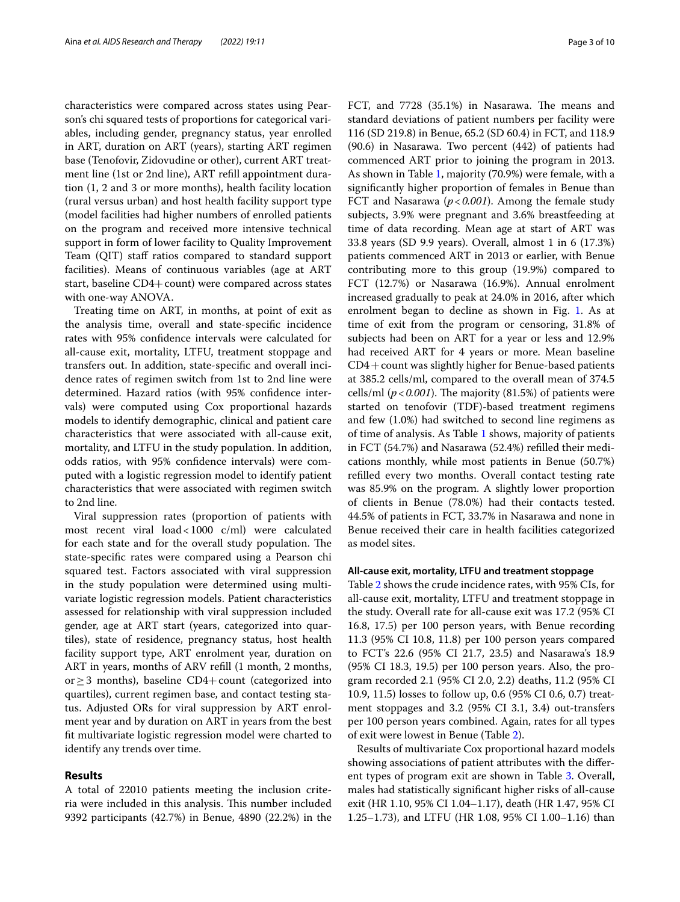characteristics were compared across states using Pearson's chi squared tests of proportions for categorical variables, including gender, pregnancy status, year enrolled in ART, duration on ART (years), starting ART regimen base (Tenofovir, Zidovudine or other), current ART treatment line (1st or 2nd line), ART refll appointment duration (1, 2 and 3 or more months), health facility location (rural versus urban) and host health facility support type (model facilities had higher numbers of enrolled patients on the program and received more intensive technical support in form of lower facility to Quality Improvement Team (QIT) staff ratios compared to standard support facilities). Means of continuous variables (age at ART start, baseline CD4+ count) were compared across states with one-way ANOVA.

Treating time on ART, in months, at point of exit as the analysis time, overall and state-specifc incidence rates with 95% confdence intervals were calculated for all-cause exit, mortality, LTFU, treatment stoppage and transfers out. In addition, state-specifc and overall incidence rates of regimen switch from 1st to 2nd line were determined. Hazard ratios (with 95% confdence intervals) were computed using Cox proportional hazards models to identify demographic, clinical and patient care characteristics that were associated with all-cause exit, mortality, and LTFU in the study population. In addition, odds ratios, with 95% confdence intervals) were computed with a logistic regression model to identify patient characteristics that were associated with regimen switch to 2nd line.

Viral suppression rates (proportion of patients with most recent viral load<1000 c/ml) were calculated for each state and for the overall study population. The state-specifc rates were compared using a Pearson chi squared test. Factors associated with viral suppression in the study population were determined using multivariate logistic regression models. Patient characteristics assessed for relationship with viral suppression included gender, age at ART start (years, categorized into quartiles), state of residence, pregnancy status, host health facility support type, ART enrolment year, duration on ART in years, months of ARV refll (1 month, 2 months, or  $≥$  3 months), baseline CD4+count (categorized into quartiles), current regimen base, and contact testing status. Adjusted ORs for viral suppression by ART enrolment year and by duration on ART in years from the best ft multivariate logistic regression model were charted to identify any trends over time.

## **Results**

A total of 22010 patients meeting the inclusion criteria were included in this analysis. This number included 9392 participants (42.7%) in Benue, 4890 (22.2%) in the FCT, and 7728 (35.1%) in Nasarawa. The means and standard deviations of patient numbers per facility were 116 (SD 219.8) in Benue, 65.2 (SD 60.4) in FCT, and 118.9 (90.6) in Nasarawa. Two percent (442) of patients had commenced ART prior to joining the program in 2013. As shown in Table [1,](#page-3-0) majority (70.9%) were female, with a signifcantly higher proportion of females in Benue than FCT and Nasarawa (*p*<*0.001*). Among the female study subjects, 3.9% were pregnant and 3.6% breastfeeding at time of data recording. Mean age at start of ART was 33.8 years (SD 9.9 years). Overall, almost 1 in 6 (17.3%) patients commenced ART in 2013 or earlier, with Benue contributing more to this group (19.9%) compared to FCT (12.7%) or Nasarawa (16.9%). Annual enrolment increased gradually to peak at 24.0% in 2016, after which enrolment began to decline as shown in Fig. [1.](#page-4-0) As at time of exit from the program or censoring, 31.8% of subjects had been on ART for a year or less and 12.9% had received ART for 4 years or more. Mean baseline CD4+count was slightly higher for Benue-based patients at 385.2 cells/ml, compared to the overall mean of 374.5 cells/ml ( $p < 0.001$ ). The majority (81.5%) of patients were started on tenofovir (TDF)-based treatment regimens and few (1.0%) had switched to second line regimens as of time of analysis. As Table [1](#page-3-0) shows, majority of patients in FCT (54.7%) and Nasarawa (52.4%) reflled their medications monthly, while most patients in Benue (50.7%) reflled every two months. Overall contact testing rate was 85.9% on the program. A slightly lower proportion of clients in Benue (78.0%) had their contacts tested. 44.5% of patients in FCT, 33.7% in Nasarawa and none in

## **All‑cause exit, mortality, LTFU and treatment stoppage**

as model sites.

Benue received their care in health facilities categorized

Table [2](#page-4-1) shows the crude incidence rates, with 95% CIs, for all-cause exit, mortality, LTFU and treatment stoppage in the study. Overall rate for all-cause exit was 17.2 (95% CI 16.8, 17.5) per 100 person years, with Benue recording 11.3 (95% CI 10.8, 11.8) per 100 person years compared to FCT's 22.6 (95% CI 21.7, 23.5) and Nasarawa's 18.9 (95% CI 18.3, 19.5) per 100 person years. Also, the program recorded 2.1 (95% CI 2.0, 2.2) deaths, 11.2 (95% CI 10.9, 11.5) losses to follow up, 0.6 (95% CI 0.6, 0.7) treatment stoppages and 3.2 (95% CI 3.1, 3.4) out-transfers per 100 person years combined. Again, rates for all types of exit were lowest in Benue (Table [2](#page-4-1)).

Results of multivariate Cox proportional hazard models showing associations of patient attributes with the diferent types of program exit are shown in Table [3.](#page-5-0) Overall, males had statistically signifcant higher risks of all-cause exit (HR 1.10, 95% CI 1.04–1.17), death (HR 1.47, 95% CI 1.25–1.73), and LTFU (HR 1.08, 95% CI 1.00–1.16) than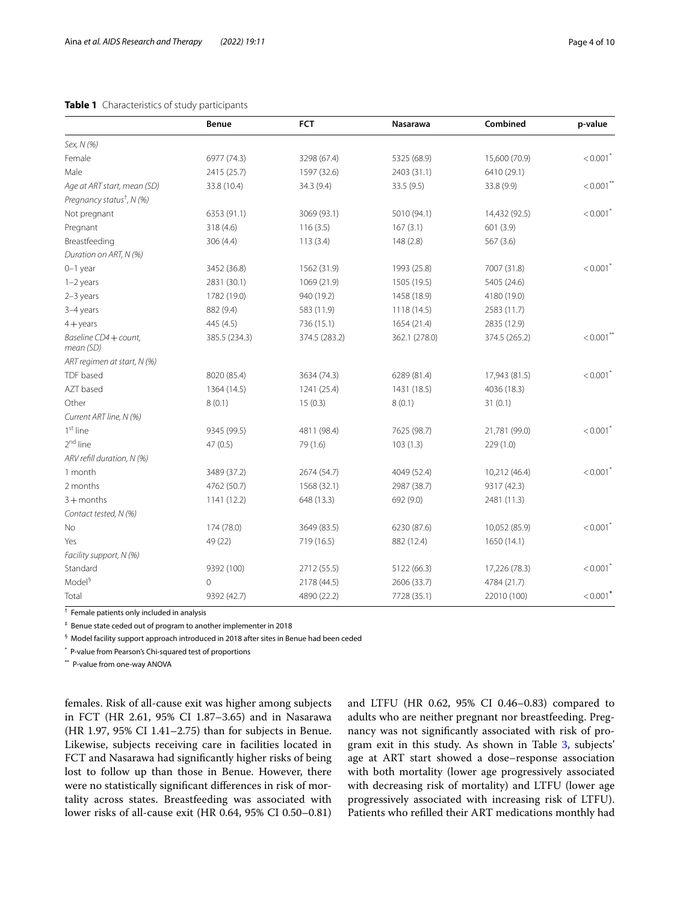## <span id="page-3-0"></span>**Table 1** Characteristics of study participants

|                                       | Benue         | <b>FCT</b>    | <b>Nasarawa</b> | Combined      | p-value                |
|---------------------------------------|---------------|---------------|-----------------|---------------|------------------------|
| Sex, N (%)                            |               |               |                 |               |                        |
| Female                                | 6977 (74.3)   | 3298 (67.4)   | 5325 (68.9)     | 15,600 (70.9) | $< 0.001$ <sup>*</sup> |
| Male                                  | 2415 (25.7)   | 1597 (32.6)   | 2403 (31.1)     | 6410 (29.1)   |                        |
| Age at ART start, mean (SD)           | 33.8 (10.4)   | 34.3 (9.4)    | 33.5 (9.5)      | 33.8 (9.9)    | $< 0.001$ **           |
| Pregnancy status <sup>†</sup> , N (%) |               |               |                 |               |                        |
| Not pregnant                          | 6353 (91.1)   | 3069 (93.1)   | 5010 (94.1)     | 14,432 (92.5) | $< 0.001$ <sup>*</sup> |
| Pregnant                              | 318 (4.6)     | 116(3.5)      | 167(3.1)        | 601 (3.9)     |                        |
| Breastfeeding                         | 306(4.4)      | 113(3.4)      | 148(2.8)        | 567(3.6)      |                        |
| Duration on ART, N (%)                |               |               |                 |               |                        |
| $0-1$ year                            | 3452 (36.8)   | 1562 (31.9)   | 1993 (25.8)     | 7007 (31.8)   | $< 0.001$ <sup>*</sup> |
| $1-2$ years                           | 2831 (30.1)   | 1069 (21.9)   | 1505 (19.5)     | 5405 (24.6)   |                        |
| $2-3$ years                           | 1782 (19.0)   | 940 (19.2)    | 1458 (18.9)     | 4180 (19.0)   |                        |
| 3-4 years                             | 882 (9.4)     | 583 (11.9)    | 1118 (14.5)     | 2583 (11.7)   |                        |
| $4 +$ years                           | 445 (4.5)     | 736 (15.1)    | 1654 (21.4)     | 2835 (12.9)   |                        |
| Baseline CD4 + count,<br>mean (SD)    | 385.5 (234.3) | 374.5 (283.2) | 362.1 (278.0)   | 374.5 (265.2) | $< 0.001$ **           |
| ART regimen at start, N (%)           |               |               |                 |               |                        |
| TDF based                             | 8020 (85.4)   | 3634 (74.3)   | 6289 (81.4)     | 17,943 (81.5) | $< 0.001$ <sup>*</sup> |
| AZT based                             | 1364 (14.5)   | 1241 (25.4)   | 1431 (18.5)     | 4036 (18.3)   |                        |
| Other                                 | 8(0.1)        | 15(0.3)       | 8(0.1)          | 31(0.1)       |                        |
| Current ART line, N (%)               |               |               |                 |               |                        |
| 1 <sup>st</sup> line                  | 9345 (99.5)   | 4811 (98.4)   | 7625 (98.7)     | 21,781 (99.0) | $< 0.001$ <sup>*</sup> |
| 2 <sup>nd</sup> line                  | 47(0.5)       | 79 (1.6)      | 103(1.3)        | 229 (1.0)     |                        |
| ARV refill duration, N (%)            |               |               |                 |               |                        |
| 1 month                               | 3489 (37.2)   | 2674 (54.7)   | 4049 (52.4)     | 10,212 (46.4) | $< 0.001$ <sup>*</sup> |
| 2 months                              | 4762 (50.7)   | 1568 (32.1)   | 2987 (38.7)     | 9317 (42.3)   |                        |
| $3 +$ months                          | 1141 (12.2)   | 648 (13.3)    | 692 (9.0)       | 2481 (11.3)   |                        |
| Contact tested, N (%)                 |               |               |                 |               |                        |
| No                                    | 174 (78.0)    | 3649 (83.5)   | 6230 (87.6)     | 10,052 (85.9) | $< 0.001$ <sup>*</sup> |
| Yes                                   | 49 (22)       | 719 (16.5)    | 882 (12.4)      | 1650 (14.1)   |                        |
| Facility support, N (%)               |               |               |                 |               |                        |
| Standard                              | 9392 (100)    | 2712 (55.5)   | 5122 (66.3)     | 17,226 (78.3) | $< 0.001$ <sup>*</sup> |
| Model <sup>§</sup>                    | $\Omega$      | 2178 (44.5)   | 2606 (33.7)     | 4784 (21.7)   |                        |
| Total                                 | 9392 (42.7)   | 4890 (22.2)   | 7728 (35.1)     | 22010 (100)   | $< 0.001$ <sup>*</sup> |

† Female patients only included in analysis

‡ Benue state ceded out of program to another implementer in 2018

 $§$  Model facility support approach introduced in 2018 after sites in Benue had been ceded

\* P-value from Pearson's Chi-squared test of proportions

\*\* P-value from one-way ANOVA

females. Risk of all-cause exit was higher among subjects in FCT (HR 2.61, 95% CI 1.87–3.65) and in Nasarawa (HR 1.97, 95% CI 1.41–2.75) than for subjects in Benue. Likewise, subjects receiving care in facilities located in FCT and Nasarawa had signifcantly higher risks of being lost to follow up than those in Benue. However, there were no statistically signifcant diferences in risk of mortality across states. Breastfeeding was associated with lower risks of all-cause exit (HR 0.64, 95% CI 0.50–0.81) and LTFU (HR 0.62, 95% CI 0.46–0.83) compared to adults who are neither pregnant nor breastfeeding. Pregnancy was not signifcantly associated with risk of program exit in this study. As shown in Table [3](#page-5-0), subjects' age at ART start showed a dose–response association with both mortality (lower age progressively associated with decreasing risk of mortality) and LTFU (lower age progressively associated with increasing risk of LTFU). Patients who reflled their ART medications monthly had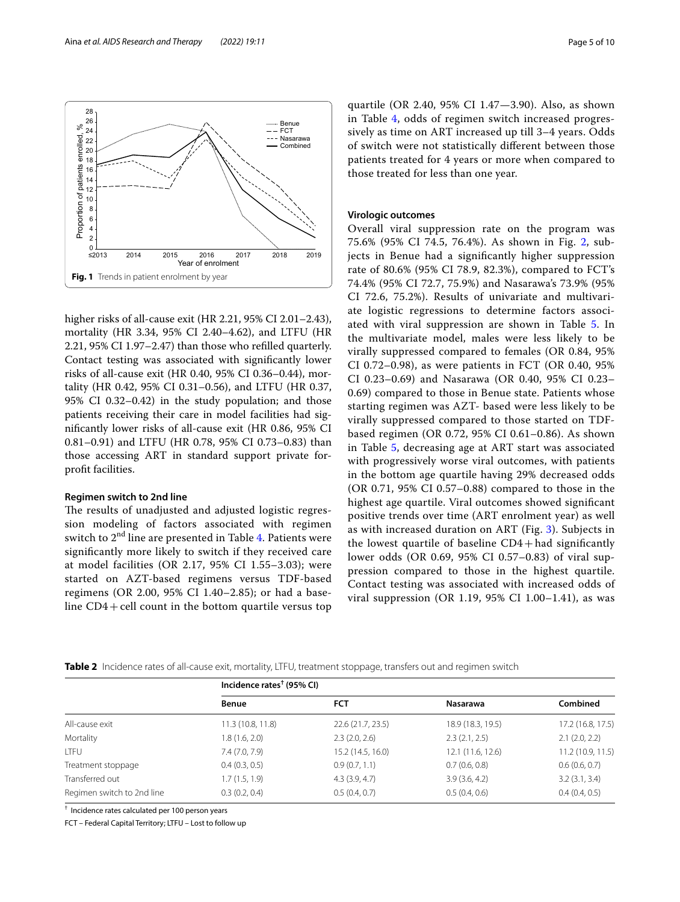<span id="page-4-0"></span>higher risks of all-cause exit (HR 2.21, 95% CI 2.01–2.43), mortality (HR 3.34, 95% CI 2.40–4.62), and LTFU (HR 2.21, 95% CI 1.97–2.47) than those who reflled quarterly. Contact testing was associated with signifcantly lower risks of all-cause exit (HR 0.40, 95% CI 0.36–0.44), mortality (HR 0.42, 95% CI 0.31–0.56), and LTFU (HR 0.37, 95% CI 0.32–0.42) in the study population; and those patients receiving their care in model facilities had signifcantly lower risks of all-cause exit (HR 0.86, 95% CI 0.81–0.91) and LTFU (HR 0.78, 95% CI 0.73–0.83) than those accessing ART in standard support private forproft facilities.

# **Regimen switch to 2nd line**

The results of unadjusted and adjusted logistic regression modeling of factors associated with regimen switch to  $2<sup>nd</sup>$  line are presented in Table [4.](#page-5-1) Patients were signifcantly more likely to switch if they received care at model facilities (OR 2.17, 95% CI 1.55–3.03); were started on AZT-based regimens versus TDF-based regimens (OR 2.00, 95% CI 1.40–2.85); or had a baseline  $CD4 +$ cell count in the bottom quartile versus top

quartile (OR 2.40, 95% CI 1.47—3.90). Also, as shown in Table [4](#page-5-1), odds of regimen switch increased progressively as time on ART increased up till 3–4 years. Odds of switch were not statistically diferent between those patients treated for 4 years or more when compared to those treated for less than one year.

# **Virologic outcomes**

Overall viral suppression rate on the program was 75.6% (95% CI 74.5, 76.4%). As shown in Fig. [2,](#page-5-2) subjects in Benue had a signifcantly higher suppression rate of 80.6% (95% CI 78.9, 82.3%), compared to FCT's 74.4% (95% CI 72.7, 75.9%) and Nasarawa's 73.9% (95% CI 72.6, 75.2%). Results of univariate and multivariate logistic regressions to determine factors associated with viral suppression are shown in Table [5.](#page-6-0) In the multivariate model, males were less likely to be virally suppressed compared to females (OR 0.84, 95% CI 0.72–0.98), as were patients in FCT (OR 0.40, 95% CI 0.23–0.69) and Nasarawa (OR 0.40, 95% CI 0.23– 0.69) compared to those in Benue state. Patients whose starting regimen was AZT- based were less likely to be virally suppressed compared to those started on TDFbased regimen (OR 0.72, 95% CI 0.61–0.86). As shown in Table [5,](#page-6-0) decreasing age at ART start was associated with progressively worse viral outcomes, with patients in the bottom age quartile having 29% decreased odds (OR 0.71, 95% CI 0.57–0.88) compared to those in the highest age quartile. Viral outcomes showed signifcant positive trends over time (ART enrolment year) as well as with increased duration on ART (Fig. [3\)](#page-7-0). Subjects in the lowest quartile of baseline  $CD4 + had$  significantly lower odds (OR 0.69, 95% CI 0.57–0.83) of viral suppression compared to those in the highest quartile. Contact testing was associated with increased odds of viral suppression (OR 1.19, 95% CI 1.00–1.41), as was

<span id="page-4-1"></span>

|                            | Incidence rates <sup><math>†</math></sup> (95% CI) |                   |                   |                    |
|----------------------------|----------------------------------------------------|-------------------|-------------------|--------------------|
|                            | <b>Benue</b>                                       | <b>FCT</b>        | <b>Nasarawa</b>   | Combined           |
| All-cause exit             | 11.3(10.8, 11.8)                                   | 22.6 (21.7, 23.5) | 18.9 (18.3, 19.5) | 17.2 (16.8, 17.5)  |
| Mortality                  | 1.8(1.6, 2.0)                                      | 2.3(2.0, 2.6)     | 2.3(2.1, 2.5)     | $2.1$ $(2.0, 2.2)$ |
| <b>LTFU</b>                | 7.4(7.0, 7.9)                                      | 15.2 (14.5, 16.0) | 12.1 (11.6, 12.6) | 11.2 (10.9, 11.5)  |
| Treatment stoppage         | 0.4(0.3, 0.5)                                      | 0.9(0.7, 1.1)     | 0.7(0.6, 0.8)     | 0.6(0.6, 0.7)      |
| Transferred out            | 1.7(1.5, 1.9)                                      | 4.3(3.9, 4.7)     | 3.9(3.6, 4.2)     | 3.2(3.1, 3.4)      |
| Regimen switch to 2nd line | 0.3(0.2, 0.4)                                      | 0.5(0.4, 0.7)     | 0.5(0.4, 0.6)     | 0.4(0.4, 0.5)      |

† Incidence rates calculated per 100 person years

FCT – Federal Capital Territory; LTFU – Lost to follow up

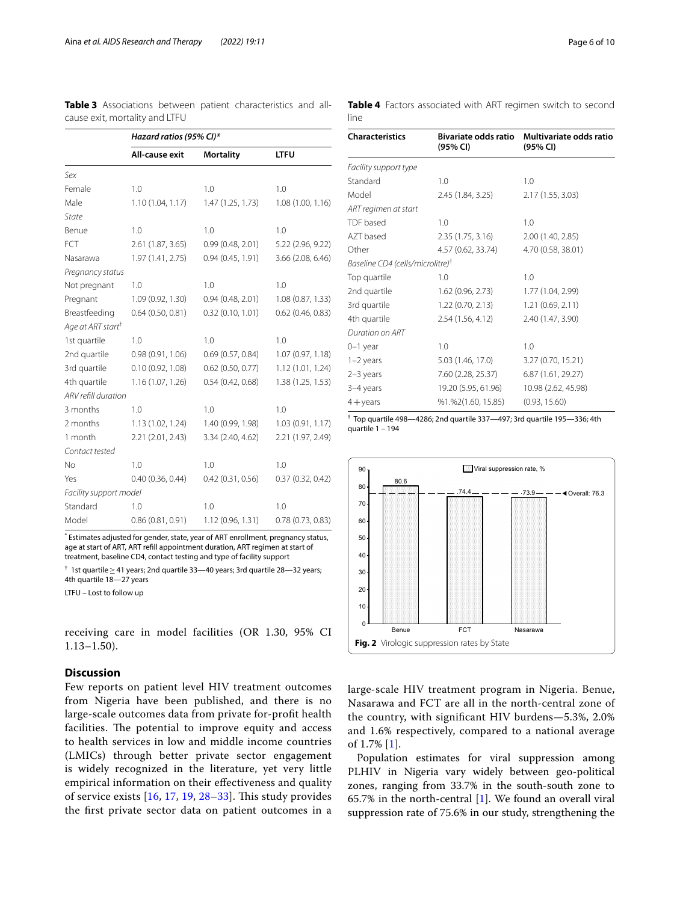<span id="page-5-0"></span>**Table 3** Associations between patient characteristics and allcause exit, mortality and LTFU

|                               | Hazard ratios (95% CI)* |                     |                       |  |
|-------------------------------|-------------------------|---------------------|-----------------------|--|
|                               | All-cause exit          | <b>Mortality</b>    | <b>LTFU</b>           |  |
| Sex                           |                         |                     |                       |  |
| Female                        | 1.0                     | 1.0                 | 1.0                   |  |
| Male                          | 1.10(1.04, 1.17)        | 1.47(1.25, 1.73)    | 1.08(1.00, 1.16)      |  |
| <b>State</b>                  |                         |                     |                       |  |
| Benue                         | 1.0                     | 1.0                 | 1.0                   |  |
| FCT                           | 2.61(1.87, 3.65)        | 0.99(0.48, 2.01)    | 5.22 (2.96, 9.22)     |  |
| Nasarawa                      | 1.97 (1.41, 2.75)       | 0.94(0.45, 1.91)    | $3.66$ $(2.08, 6.46)$ |  |
| Pregnancy status              |                         |                     |                       |  |
| Not pregnant                  | 1.0                     | 1.0                 | 1.0                   |  |
| Pregnant                      | 1.09(0.92, 1.30)        | 0.94(0.48, 2.01)    | 1.08(0.87, 1.33)      |  |
| Breastfeeding                 | 0.64(0.50, 0.81)        | 0.32(0.10, 1.01)    | $0.62$ (0.46, 0.83)   |  |
| Age at ART start <sup>+</sup> |                         |                     |                       |  |
| 1st quartile                  | 1.0                     | 1.0                 | 1.0                   |  |
| 2nd quartile                  | 0.98(0.91, 1.06)        | 0.69(0.57, 0.84)    | 1.07(0.97, 1.18)      |  |
| 3rd quartile                  | 0.10(0.92, 1.08)        | $0.62$ (0.50, 0.77) | 1.12(1.01, 1.24)      |  |
| 4th quartile                  | 1.16(1.07, 1.26)        | 0.54(0.42, 0.68)    | 1.38 (1.25, 1.53)     |  |
| ARV refill duration           |                         |                     |                       |  |
| 3 months                      | 1.0                     | 1.0                 | 1.0                   |  |
| 2 months                      | 1.13(1.02, 1.24)        | 1.40 (0.99, 1.98)   | 1.03(0.91, 1.17)      |  |
| 1 month                       | 2.21(2.01, 2.43)        | 3.34 (2.40, 4.62)   | 2.21 (1.97, 2.49)     |  |
| Contact tested                |                         |                     |                       |  |
| No                            | 1.0                     | 1.0                 | 1.0                   |  |
| Yes                           | 0.40(0.36, 0.44)        | 0.42(0.31, 0.56)    | 0.37(0.32, 0.42)      |  |
| Facility support model        |                         |                     |                       |  |
| Standard                      | 1.0                     | 1.0                 | 1.0                   |  |
| Model                         | 0.86(0.81, 0.91)        | 1.12 (0.96, 1.31)   | 0.78(0.73, 0.83)      |  |

\* Estimates adjusted for gender, state, year of ART enrollment, pregnancy status, age at start of ART, ART refll appointment duration, ART regimen at start of treatment, baseline CD4, contact testing and type of facility support

† 1st quartile≥41 years; 2nd quartile 33—40 years; 3rd quartile 28—32 years; 4th quartile 18—27 years

LTFU – Lost to follow up

receiving care in model facilities (OR 1.30, 95% CI 1.13–1.50).

# **Discussion**

Few reports on patient level HIV treatment outcomes from Nigeria have been published, and there is no large-scale outcomes data from private for-proft health facilities. The potential to improve equity and access to health services in low and middle income countries (LMICs) through better private sector engagement is widely recognized in the literature, yet very little empirical information on their efectiveness and quality of service exists  $[16, 17, 19, 28-33]$  $[16, 17, 19, 28-33]$  $[16, 17, 19, 28-33]$  $[16, 17, 19, 28-33]$  $[16, 17, 19, 28-33]$  $[16, 17, 19, 28-33]$  $[16, 17, 19, 28-33]$  $[16, 17, 19, 28-33]$ . This study provides the frst private sector data on patient outcomes in a

| <b>Characteristics</b>                       | <b>Bivariate odds ratio</b><br>(95% CI) | Multivariate odds ratio<br>(95% CI) |
|----------------------------------------------|-----------------------------------------|-------------------------------------|
|                                              |                                         |                                     |
| Facility support type                        |                                         |                                     |
| Standard                                     | 1.0                                     | 1.0                                 |
| Model                                        | 2.45 (1.84, 3.25)                       | 2.17 (1.55, 3.03)                   |
| ART regimen at start                         |                                         |                                     |
| TDF based                                    | 1.0                                     | 1.0                                 |
| AZT based                                    | 2.35(1.75, 3.16)                        | 2.00 (1.40, 2.85)                   |
| Other                                        | 4.57 (0.62, 33.74)                      | 4.70 (0.58, 38.01)                  |
| Baseline CD4 (cells/microlitre) <sup>†</sup> |                                         |                                     |
| Top quartile                                 | 1.0                                     | 1.0                                 |
| 2nd quartile                                 | 1.62 (0.96, 2.73)                       | 1.77 (1.04, 2.99)                   |
| 3rd quartile                                 | 1.22(0.70, 2.13)                        | 1.21 (0.69, 2.11)                   |
| 4th quartile                                 | 2.54(1.56, 4.12)                        | 2.40 (1.47, 3.90)                   |
| Duration on ART                              |                                         |                                     |
| $0-1$ year                                   | 1.0                                     | 1.0                                 |
| $1-2$ years                                  | 5.03 (1.46, 17.0)                       | 3.27 (0.70, 15.21)                  |
| $2-3$ years                                  | 7.60 (2.28, 25.37)                      | 6.87 (1.61, 29.27)                  |
| 3-4 years                                    | 19.20 (5.95, 61.96)                     | 10.98 (2.62, 45.98)                 |
| $4 + \gamma$ ears                            | %1.%2(1.60, 15.85)                      | (0.93, 15.60)                       |

<span id="page-5-1"></span>**Table 4** Factors associated with ART regimen switch to second line

† Top quartile 498—4286; 2nd quartile 337—497; 3rd quartile 195—336; 4th quartile 1 – 194



<span id="page-5-2"></span>large-scale HIV treatment program in Nigeria. Benue, Nasarawa and FCT are all in the north-central zone of the country, with signifcant HIV burdens—5.3%, 2.0% and 1.6% respectively, compared to a national average of 1.7% [[1\]](#page-8-0).

Population estimates for viral suppression among PLHIV in Nigeria vary widely between geo-political zones, ranging from 33.7% in the south-south zone to 65.7% in the north-central  $[1]$  $[1]$ . We found an overall viral suppression rate of 75.6% in our study, strengthening the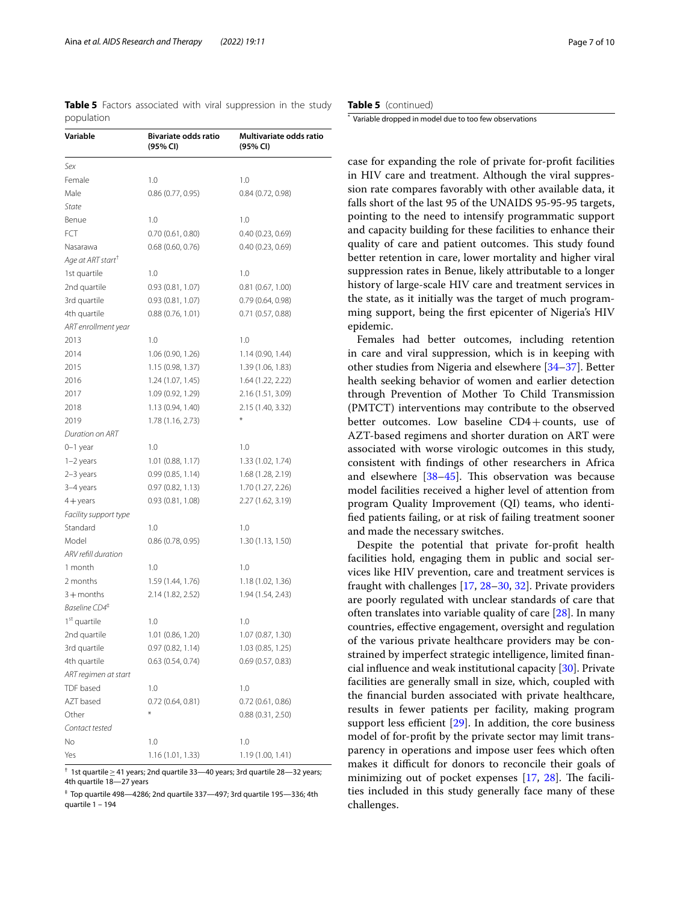<span id="page-6-0"></span>**Table 5** Factors associated with viral suppression in the study population

| Variable                      | Bivariate odds ratio<br>(95% CI) | Multivariate odds ratio<br>(95% CI) |
|-------------------------------|----------------------------------|-------------------------------------|
| Sex                           |                                  |                                     |
| Female                        | 1.0                              | 1.0                                 |
| Male                          | 0.86(0.77, 0.95)                 | 0.84(0.72, 0.98)                    |
| State                         |                                  |                                     |
| Benue                         | 1.0                              | 1.0                                 |
| FCT                           | 0.70(0.61, 0.80)                 | 0.40(0.23, 0.69)                    |
| Nasarawa                      | 0.68(0.60, 0.76)                 | 0.40(0.23, 0.69)                    |
| Age at ART start <sup>T</sup> |                                  |                                     |
| 1st quartile                  | 1.0                              | 1.0                                 |
| 2nd quartile                  | 0.93(0.81, 1.07)                 | 0.81(0.67, 1.00)                    |
| 3rd quartile                  | 0.93(0.81, 1.07)                 | 0.79 (0.64, 0.98)                   |
| 4th quartile                  | 0.88(0.76, 1.01)                 | 0.71 (0.57, 0.88)                   |
| ART enrollment year           |                                  |                                     |
| 2013                          | 1.0                              | 1.0                                 |
| 2014                          | 1.06 (0.90, 1.26)                | 1.14(0.90, 1.44)                    |
| 2015                          | 1.15 (0.98, 1.37)                | 1.39 (1.06, 1.83)                   |
| 2016                          | 1.24 (1.07, 1.45)                | 1.64 (1.22, 2.22)                   |
| 2017                          | 1.09 (0.92, 1.29)                | 2.16 (1.51, 3.09)                   |
| 2018                          | 1.13 (0.94, 1.40)                | 2.15 (1.40, 3.32)                   |
| 2019                          | 1.78 (1.16, 2.73)                |                                     |
| Duration on ART               |                                  |                                     |
| $0-1$ year                    | 1.0                              | 1.0                                 |
| $1-2$ years                   | 1.01(0.88, 1.17)                 | 1.33 (1.02, 1.74)                   |
| 2-3 years                     | 0.99(0.85, 1.14)                 | 1.68 (1.28, 2.19)                   |
| 3-4 years                     | 0.97(0.82, 1.13)                 | 1.70 (1.27, 2.26)                   |
| $4 +$ years                   | 0.93(0.81, 1.08)                 | 2.27 (1.62, 3.19)                   |
| Facility support type         |                                  |                                     |
| Standard                      | 1.0                              | 1.0                                 |
| Model                         | 0.86(0.78, 0.95)                 | 1.30(1.13, 1.50)                    |
| ARV refill duration           |                                  |                                     |
| 1 month                       | 1.0                              | 1.0                                 |
| 2 months                      | 1.59 (1.44, 1.76)                | 1.18(1.02, 1.36)                    |
| $3 +$ months                  | 2.14 (1.82, 2.52)                | 1.94 (1.54, 2.43)                   |
| Baseline CD4 <sup>#</sup>     |                                  |                                     |
| 1 <sup>st</sup> quartile      | 1.0                              | 1.0                                 |
| 2nd quartile                  | 1.01 (0.86, 1.20)                | 1.07 (0.87, 1.30)                   |
| 3rd quartile                  | 0.97 (0.82, 1.14)                | 1.03(0.85, 1.25)                    |
| 4th quartile                  | 0.63(0.54, 0.74)                 | 0.69(0.57, 0.83)                    |
| ART regimen at start          |                                  |                                     |
| TDF based                     | 1.0                              | 1.0                                 |
| AZT based                     | 0.72(0.64, 0.81)                 | 0.72(0.61, 0.86)                    |
| Other                         | ×                                | 0.88(0.31, 2.50)                    |
| Contact tested                |                                  |                                     |
| Νo                            | 1.0                              | 1.0                                 |
| Yes                           | 1.16 (1.01, 1.33)                | 1.19 (1.00, 1.41)                   |

† 1st quartile≥41 years; 2nd quartile 33—40 years; 3rd quartile 28—32 years; 4th quartile 18—27 years

‡ Top quartile 498—4286; 2nd quartile 337—497; 3rd quartile 195—336; 4th quartile 1 – 194

**Table 5** (continued)

\* Variable dropped in model due to too few observations

case for expanding the role of private for-proft facilities in HIV care and treatment. Although the viral suppression rate compares favorably with other available data, it falls short of the last 95 of the UNAIDS 95-95-95 targets, pointing to the need to intensify programmatic support and capacity building for these facilities to enhance their quality of care and patient outcomes. This study found better retention in care, lower mortality and higher viral suppression rates in Benue, likely attributable to a longer history of large-scale HIV care and treatment services in the state, as it initially was the target of much programming support, being the frst epicenter of Nigeria's HIV epidemic.

Females had better outcomes, including retention in care and viral suppression, which is in keeping with other studies from Nigeria and elsewhere [[34–](#page-8-27)[37](#page-8-28)]. Better health seeking behavior of women and earlier detection through Prevention of Mother To Child Transmission (PMTCT) interventions may contribute to the observed better outcomes. Low baseline CD4+counts, use of AZT-based regimens and shorter duration on ART were associated with worse virologic outcomes in this study, consistent with fndings of other researchers in Africa and elsewhere [38-[45](#page-9-0)]. This observation was because model facilities received a higher level of attention from program Quality Improvement (QI) teams, who identifed patients failing, or at risk of failing treatment sooner and made the necessary switches.

Despite the potential that private for-proft health facilities hold, engaging them in public and social services like HIV prevention, care and treatment services is fraught with challenges [[17,](#page-8-14) [28](#page-8-25)[–30](#page-8-30), [32\]](#page-8-31). Private providers are poorly regulated with unclear standards of care that often translates into variable quality of care [\[28](#page-8-25)]. In many countries, efective engagement, oversight and regulation of the various private healthcare providers may be constrained by imperfect strategic intelligence, limited fnancial infuence and weak institutional capacity [\[30](#page-8-30)]. Private facilities are generally small in size, which, coupled with the fnancial burden associated with private healthcare, results in fewer patients per facility, making program support less efficient  $[29]$ . In addition, the core business model of for-proft by the private sector may limit transparency in operations and impose user fees which often makes it difficult for donors to reconcile their goals of minimizing out of pocket expenses  $[17, 28]$  $[17, 28]$  $[17, 28]$  $[17, 28]$ . The facilities included in this study generally face many of these challenges.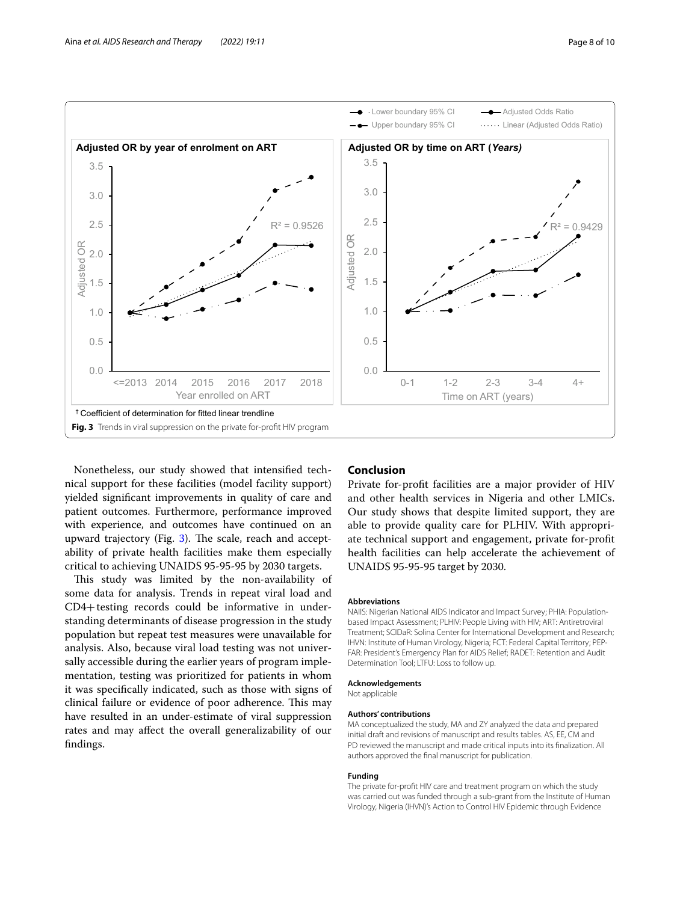

<span id="page-7-0"></span>Nonetheless, our study showed that intensifed technical support for these facilities (model facility support) yielded signifcant improvements in quality of care and patient outcomes. Furthermore, performance improved with experience, and outcomes have continued on an upward trajectory (Fig.  $3$ ). The scale, reach and acceptability of private health facilities make them especially critical to achieving UNAIDS 95-95-95 by 2030 targets.

This study was limited by the non-availability of some data for analysis. Trends in repeat viral load and CD4+testing records could be informative in understanding determinants of disease progression in the study population but repeat test measures were unavailable for analysis. Also, because viral load testing was not universally accessible during the earlier years of program implementation, testing was prioritized for patients in whom it was specifcally indicated, such as those with signs of clinical failure or evidence of poor adherence. This may have resulted in an under-estimate of viral suppression rates and may afect the overall generalizability of our fndings.

## **Conclusion**

Private for-proft facilities are a major provider of HIV and other health services in Nigeria and other LMICs. Our study shows that despite limited support, they are able to provide quality care for PLHIV. With appropriate technical support and engagement, private for-proft health facilities can help accelerate the achievement of UNAIDS 95-95-95 target by 2030.

## **Abbreviations**

NAIIS: Nigerian National AIDS Indicator and Impact Survey; PHIA: Populationbased Impact Assessment; PLHIV: People Living with HIV; ART: Antiretroviral Treatment; SCIDaR: Solina Center for International Development and Research; IHVN: Institute of Human Virology, Nigeria; FCT: Federal Capital Territory; PEP-FAR: President's Emergency Plan for AIDS Relief; RADET: Retention and Audit Determination Tool; LTFU: Loss to follow up.

### **Acknowledgements**

Not applicable

#### **Authors' contributions**

MA conceptualized the study, MA and ZY analyzed the data and prepared initial draft and revisions of manuscript and results tables. AS, EE, CM and PD reviewed the manuscript and made critical inputs into its fnalization. All authors approved the fnal manuscript for publication.

#### **Funding**

The private for-proft HIV care and treatment program on which the study was carried out was funded through a sub-grant from the Institute of Human Virology, Nigeria (IHVN)'s Action to Control HIV Epidemic through Evidence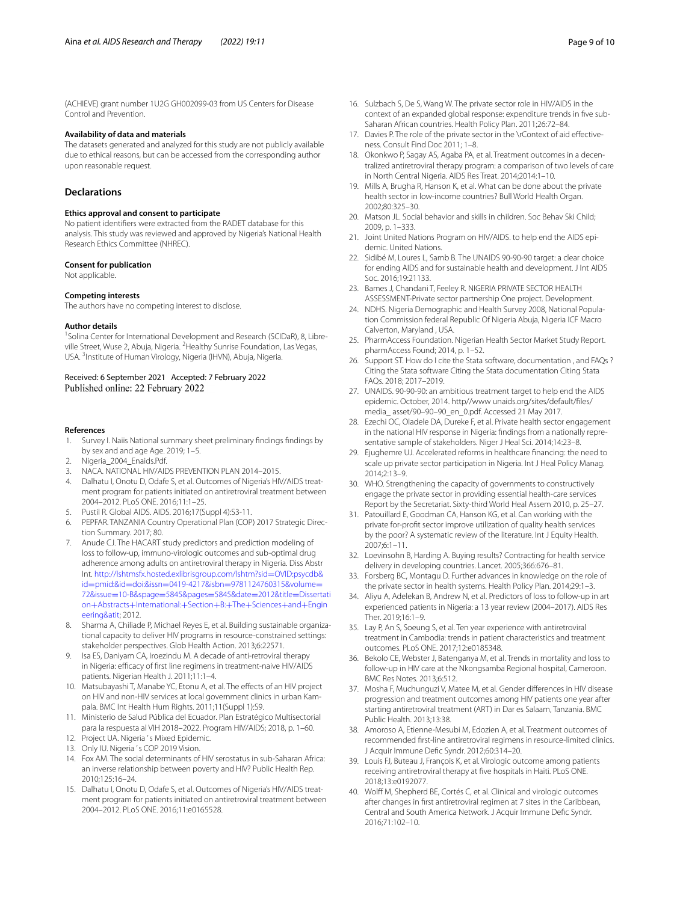(ACHIEVE) grant number 1U2G GH002099-03 from US Centers for Disease Control and Prevention.

#### **Availability of data and materials**

The datasets generated and analyzed for this study are not publicly available due to ethical reasons, but can be accessed from the corresponding author upon reasonable request.

# **Declarations**

#### **Ethics approval and consent to participate**

No patient identifers were extracted from the RADET database for this analysis. This study was reviewed and approved by Nigeria's National Health Research Ethics Committee (NHREC).

#### **Consent for publication**

Not applicable.

#### **Competing interests**

The authors have no competing interest to disclose.

#### **Author details**

<sup>1</sup> Solina Center for International Development and Research (SCIDaR), 8, Libreville Street, Wuse 2, Abuja, Nigeria. <sup>2</sup> Healthy Sunrise Foundation, Las Vegas, USA. <sup>3</sup>Institute of Human Virology, Nigeria (IHVN), Abuja, Nigeria.

#### Received: 6 September 2021 Accepted: 7 February 2022 Published online: 22 February 2022

#### **References**

- <span id="page-8-0"></span>1. Survey I. Naiis National summary sheet preliminary fndings fndings by by sex and and age Age. 2019; 1–5.
- <span id="page-8-1"></span>2. Nigeria\_2004\_Enaids.Pdf.
- <span id="page-8-3"></span>3. NACA. NATIONAL HIV/AIDS PREVENTION PLAN 2014–2015.
- 4. Dalhatu I, Onotu D, Odafe S, et al. Outcomes of Nigeria's HIV/AIDS treatment program for patients initiated on antiretroviral treatment between 2004–2012. PLoS ONE. 2016;11:1–25.
- <span id="page-8-2"></span>5. Pustil R. Global AIDS. AIDS. 2016;17(Suppl 4):S3-11.
- <span id="page-8-4"></span>6. PEPFAR. TANZANIA Country Operational Plan (COP) 2017 Strategic Direction Summary. 2017; 80.
- <span id="page-8-10"></span>7. Anude CJ. The HACART study predictors and prediction modeling of loss to follow-up, immuno-virologic outcomes and sub-optimal drug adherence among adults on antiretroviral therapy in Nigeria. Diss Abstr Int. [http://lshtmsfx.hosted.exlibrisgroup.com/lshtm?sid](http://lshtmsfx.hosted.exlibrisgroup.com/lshtm?sid=OVID:psycdb&id=pmid:&id=doi:&issn=0419-4217&isbn=9781124760315&volume=72&issue=10-B&spage=5845&pages=5845&date=2012&title=Dissertation+Abstracts+International:+Section+B:+The+Sciences+and+Engineering&atit)=OVID:psycdb& id=pmid:&id=doi:&issn=0419-4217&isbn=[9781124760315&volume](http://lshtmsfx.hosted.exlibrisgroup.com/lshtm?sid=OVID:psycdb&id=pmid:&id=doi:&issn=0419-4217&isbn=9781124760315&volume=72&issue=10-B&spage=5845&pages=5845&date=2012&title=Dissertation+Abstracts+International:+Section+B:+The+Sciences+and+Engineering&atit)= 72&issue=10-B&spage=[5845&pages](http://lshtmsfx.hosted.exlibrisgroup.com/lshtm?sid=OVID:psycdb&id=pmid:&id=doi:&issn=0419-4217&isbn=9781124760315&volume=72&issue=10-B&spage=5845&pages=5845&date=2012&title=Dissertation+Abstracts+International:+Section+B:+The+Sciences+and+Engineering&atit)=5845&date=2012&title=Dissertati on+Abstracts+[International:](http://lshtmsfx.hosted.exlibrisgroup.com/lshtm?sid=OVID:psycdb&id=pmid:&id=doi:&issn=0419-4217&isbn=9781124760315&volume=72&issue=10-B&spage=5845&pages=5845&date=2012&title=Dissertation+Abstracts+International:+Section+B:+The+Sciences+and+Engineering&atit)+Section+B:+The+Sciences+and+Engin [eering&atit;](http://lshtmsfx.hosted.exlibrisgroup.com/lshtm?sid=OVID:psycdb&id=pmid:&id=doi:&issn=0419-4217&isbn=9781124760315&volume=72&issue=10-B&spage=5845&pages=5845&date=2012&title=Dissertation+Abstracts+International:+Section+B:+The+Sciences+and+Engineering&atit) 2012.
- <span id="page-8-11"></span>8. Sharma A, Chiliade P, Michael Reyes E, et al. Building sustainable organizational capacity to deliver HIV programs in resource-constrained settings: stakeholder perspectives. Glob Health Action. 2013;6:22571.
- 9. Isa ES, Daniyam CA, Iroezindu M. A decade of anti-retroviral therapy in Nigeria: efficacy of first line regimens in treatment-naive HIV/AIDS patients. Nigerian Health J. 2011;11:1-4.
- <span id="page-8-5"></span>10. Matsubayashi T, Manabe YC, Etonu A, et al. The effects of an HIV project on HIV and non-HIV services at local government clinics in urban Kampala. BMC Int Health Hum Rights. 2011;11(Suppl 1):S9.
- <span id="page-8-6"></span>11. Ministerio de Salud Pública del Ecuador. Plan Estratégico Multisectorial para la respuesta al VIH 2018–2022. Program HIV/AIDS; 2018, p. 1–60.
- <span id="page-8-7"></span>12. Project UA. Nigeria 's Mixed Epidemic.
- <span id="page-8-8"></span>13. Only IU. Nigeria 's COP 2019 Vision.
- <span id="page-8-9"></span>14. Fox AM. The social determinants of HIV serostatus in sub-Saharan Africa: an inverse relationship between poverty and HIV? Public Health Rep. 2010;125:16–24.
- <span id="page-8-12"></span>15. Dalhatu I, Onotu D, Odafe S, et al. Outcomes of Nigeria's HIV/AIDS treatment program for patients initiated on antiretroviral treatment between 2004–2012. PLoS ONE. 2016;11:e0165528.
- <span id="page-8-13"></span>16. Sulzbach S, De S, Wang W. The private sector role in HIV/AIDS in the context of an expanded global response: expenditure trends in fve sub-Saharan African countries. Health Policy Plan. 2011;26:72–84.
- <span id="page-8-14"></span>17. Davies P. The role of the private sector in the \rContext of aid effectiveness. Consult Find Doc 2011; 1–8.
- <span id="page-8-15"></span>18. Okonkwo P, Sagay AS, Agaba PA, et al. Treatment outcomes in a decentralized antiretroviral therapy program: a comparison of two levels of care in North Central Nigeria. AIDS Res Treat. 2014;2014:1–10.
- <span id="page-8-24"></span>19. Mills A, Brugha R, Hanson K, et al. What can be done about the private health sector in low-income countries? Bull World Health Organ. 2002;80:325–30.
- <span id="page-8-16"></span>20. Matson JL. Social behavior and skills in children. Soc Behav Ski Child; 2009, p. 1–333.
- <span id="page-8-17"></span>21. Joint United Nations Program on HIV/AIDS. to help end the AIDS epidemic. United Nations.
- <span id="page-8-18"></span>22. Sidibé M, Loures L, Samb B. The UNAIDS 90-90-90 target: a clear choice for ending AIDS and for sustainable health and development. J Int AIDS Soc. 2016;19:21133.
- <span id="page-8-19"></span>23. Bames J, Chandani T, Feeley R. NIGERIA PRIVATE SECTOR HEALTH ASSESSMENT-Private sector partnership One project. Development.
- <span id="page-8-20"></span>24. NDHS. Nigeria Demographic and Health Survey 2008, National Population Commission federal Republic Of Nigeria Abuja, Nigeria ICF Macro Calverton, Maryland , USA.
- <span id="page-8-21"></span>25. PharmAccess Foundation. Nigerian Health Sector Market Study Report. pharmAccess Found; 2014, p. 1–52.
- <span id="page-8-22"></span>26. Support ST. How do I cite the Stata software, documentation , and FAQs ? Citing the Stata software Citing the Stata documentation Citing Stata FAQs. 2018; 2017–2019.
- <span id="page-8-23"></span>27. UNAIDS. 90-90-90: an ambitious treatment target to help end the AIDS epidemic. October, 2014. http//www unaids.org/sites/default/fles/ media\_ asset/90–90–90\_en\_0.pdf. Accessed 21 May 2017.
- <span id="page-8-25"></span>28. Ezechi OC, Oladele DA, Dureke F, et al. Private health sector engagement in the national HIV response in Nigeria: fndings from a nationally representative sample of stakeholders. Niger J Heal Sci. 2014;14:23–8.
- <span id="page-8-32"></span>29. Ejughemre UJ. Accelerated reforms in healthcare fnancing: the need to scale up private sector participation in Nigeria. Int J Heal Policy Manag. 2014;2:13–9.
- <span id="page-8-30"></span>30. WHO. Strengthening the capacity of governments to constructively engage the private sector in providing essential health-care services Report by the Secretariat. Sixty-third World Heal Assem 2010, p. 25–27.
- 31. Patouillard E, Goodman CA, Hanson KG, et al. Can working with the private for-proft sector improve utilization of quality health services by the poor? A systematic review of the literature. Int J Equity Health. 2007;6:1–11.
- <span id="page-8-31"></span>32. Loevinsohn B, Harding A. Buying results? Contracting for health service delivery in developing countries. Lancet. 2005;366:676–81.
- <span id="page-8-26"></span>33. Forsberg BC, Montagu D. Further advances in knowledge on the role of the private sector in health systems. Health Policy Plan. 2014;29:1–3.
- <span id="page-8-27"></span>34. Aliyu A, Adelekan B, Andrew N, et al. Predictors of loss to follow-up in art experienced patients in Nigeria: a 13 year review (2004–2017). AIDS Res Ther. 2019;16:1–9.
- 35. Lay P, An S, Soeung S, et al. Ten year experience with antiretroviral treatment in Cambodia: trends in patient characteristics and treatment outcomes. PLoS ONE. 2017;12:e0185348.
- 36. Bekolo CE, Webster J, Batenganya M, et al. Trends in mortality and loss to follow-up in HIV care at the Nkongsamba Regional hospital, Cameroon. BMC Res Notes. 2013;6:512.
- <span id="page-8-28"></span>37. Mosha F, Muchunguzi V, Matee M, et al. Gender diferences in HIV disease progression and treatment outcomes among HIV patients one year after starting antiretroviral treatment (ART) in Dar es Salaam, Tanzania. BMC Public Health. 2013;13:38.
- <span id="page-8-29"></span>38. Amoroso A, Etienne-Mesubi M, Edozien A, et al. Treatment outcomes of recommended frst-line antiretroviral regimens in resource-limited clinics. J Acquir Immune Defc Syndr. 2012;60:314–20.
- 39. Louis FJ, Buteau J, François K, et al. Virologic outcome among patients receiving antiretroviral therapy at fve hospitals in Haiti. PLoS ONE. 2018;13:e0192077.
- 40. Wolff M, Shepherd BE, Cortés C, et al. Clinical and virologic outcomes after changes in frst antiretroviral regimen at 7 sites in the Caribbean, Central and South America Network. J Acquir Immune Defc Syndr. 2016;71:102–10.